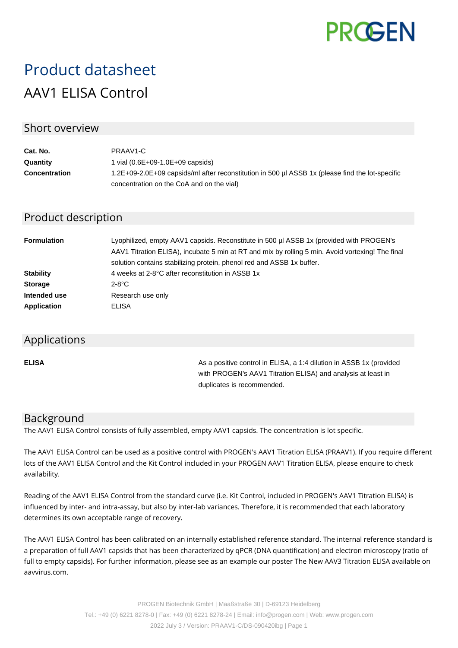

# Product datasheet AAV1 ELISA Control

## Short overview

| Cat. No.             | PRAAV1-C                                                                                        |
|----------------------|-------------------------------------------------------------------------------------------------|
| Quantity             | 1 vial $(0.6E+09-1.0E+09$ capsids)                                                              |
| <b>Concentration</b> | 1.2E+09-2.0E+09 capsids/ml after reconstitution in 500 µl ASSB 1x (please find the lot-specific |
|                      | concentration on the CoA and on the vial)                                                       |

# Product description

| <b>Formulation</b> | Lyophilized, empty AAV1 capsids. Reconstitute in 500 µl ASSB 1x (provided with PROGEN's<br>AAV1 Titration ELISA), incubate 5 min at RT and mix by rolling 5 min. Avoid vortexing! The final<br>solution contains stabilizing protein, phenol red and ASSB 1x buffer. |
|--------------------|----------------------------------------------------------------------------------------------------------------------------------------------------------------------------------------------------------------------------------------------------------------------|
| <b>Stability</b>   | 4 weeks at 2-8°C after reconstitution in ASSB 1x                                                                                                                                                                                                                     |
| <b>Storage</b>     | $2-8$ °C                                                                                                                                                                                                                                                             |
| Intended use       | Research use only                                                                                                                                                                                                                                                    |
| <b>Application</b> | ELISA                                                                                                                                                                                                                                                                |

#### Applications

**ELISA As a positive control in ELISA, a 1:4 dilution in ASSB 1x (provided Assets** 1:4 dilution in ASSB 1x (provided with PROGEN's AAV1 Titration ELISA) and analysis at least in duplicates is recommended.

## Background

The AAV1 ELISA Control consists of fully assembled, empty AAV1 capsids. The concentration is lot specific.

The AAV1 ELISA Control can be used as a positive control with PROGEN's AAV1 Titration ELISA (PRAAV1). If you require different lots of the AAV1 ELISA Control and the Kit Control included in your PROGEN AAV1 Titration ELISA, please enquire to check availability.

Reading of the AAV1 ELISA Control from the standard curve (i.e. Kit Control, included in PROGEN's AAV1 Titration ELISA) is influenced by inter- and intra-assay, but also by inter-lab variances. Therefore, it is recommended that each laboratory determines its own acceptable range of recovery.

The AAV1 ELISA Control has been calibrated on an internally established reference standard. The internal reference standard is a preparation of full AAV1 capsids that has been characterized by qPCR (DNA quantification) and electron microscopy (ratio of full to empty capsids). For further information, please see as an example our poster The New AAV3 Titration ELISA available on aavvirus.com.